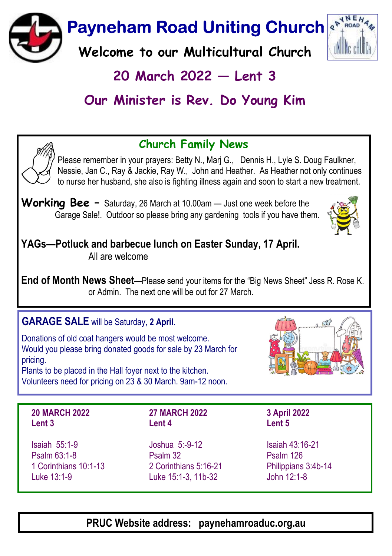**Payneham Road Uniting Church &** 

Welcome to our Multicultural Church

# $20$  March  $2022$  – Lent 3

# Our Minister is Rev. Do Young Kim

## Church Family News

Please remember in your prayers: Betty N., Marj G., Dennis H., Lyle S. Doug Faulkner, Nessie, Jan C., Ray & Jackie, Ray W., John and Heather. As Heather not only continues to nurse her husband, she also is fighting illness again and soon to start a new treatment.

Working Bee  $-$  Saturday, 26 March at 10.00am  $-$  Just one week before the Garage Sale!. Outdoor so please bring any gardening tools if you have them.

YAGs—Potluck and barbecue lunch on Easter Sunday, 17 April. All are welcome

End of Month News Sheet--Please send your items for the "Big News Sheet" Jess R. Rose K. or Admin. The next one will be out for 27 March.

## GARAGE SALE will be Saturday, 2 April.

Donations of old coat hangers would be most welcome. Would you please bring donated goods for sale by 23 March for pricing. Plants to be placed in the Hall foyer next to the kitchen.

Volunteers need for pricing on 23 & 30 March. 9am-12 noon.

#### 20 MARCH 2022 Lent 3

Isaiah 55:1-9 Psalm 63:1-8 1 Corinthians 10:1-13 Luke 13:1-9

### 27 MARCH 2022 Lent 4

Joshua 5:-9-12 Psalm 32 2 Corinthians 5:16-21 Luke 15:1-3, 11b-32

Isaiah 43:16-21 Psalm 126

Philippians 3:4b-14 John 12:1-8

3 April 2022 Lent 5

PRUC Website address: paynehamroaduc.org.au